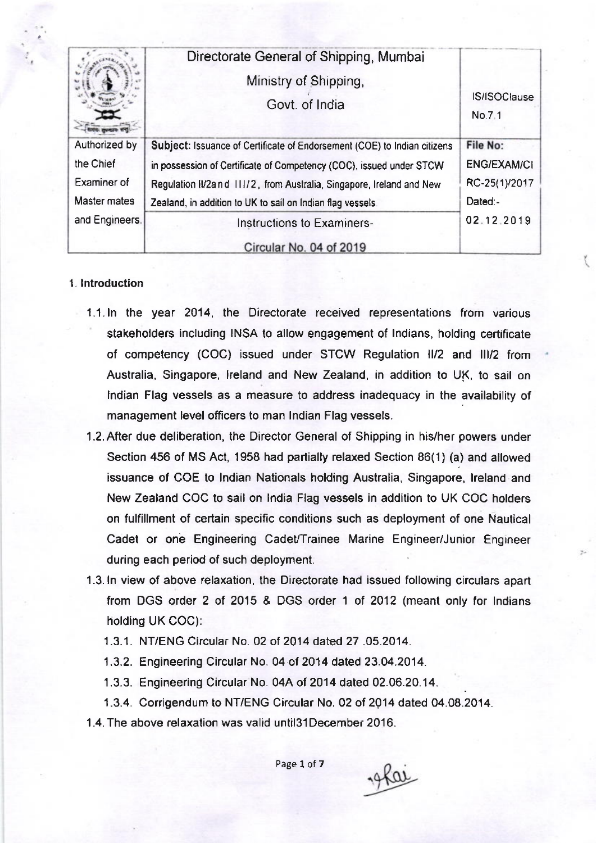|                     | Directorate General of Shipping, Mumbai<br>Ministry of Shipping,<br>Govt. of India | <b>IS/ISOClause</b><br>No.7.1 |  |
|---------------------|------------------------------------------------------------------------------------|-------------------------------|--|
| Authorized by       | Subject: Issuance of Certificate of Endorsement (COE) to Indian citizens           | File No:                      |  |
| the Chief           | in possession of Certificate of Competency (COC), issued under STCW                |                               |  |
| Examiner of         | Regulation II/2and 111/2, from Australia, Singapore, Ireland and New               | RC-25(1)/2017                 |  |
| <b>Master mates</b> | Zealand, in addition to UK to sail on Indian flag vessels.                         | Dated:-                       |  |
| and Engineers.      | Instructions to Examiners-                                                         | 02.12.2019                    |  |
|                     | Circular No. 04 of 2019                                                            |                               |  |

### 1. lntroduction

- 1.1. ln the year 2014, the Directorate received representations from various stakeholders including INSA to allow engagement of lndians, holding certificate of competency (COC) issued under STCW Regulation  $III/2$  and III/2 from Australia, Singapore, lreland and New Zealand, in addition to UK, to sail on lndian Flag vessels as a measure to address inadequacy in the availability of management level officers to man lndian Flag vessels.
- 1.2.After due deliberation, the Director General of Shipping in his/her powers under Section 456 of MS Act, 1958 had partially relaxed Section 86(1) (a) and allowed issuance of COE to lndian Nationals holding Australia, Singapore, lreland and New Zealand COC to sail on lndia Flag vessels in addition to UK COC holders on fulfillment of certain specific conditions such as deployment of one Nautical Cadet or one Engineering Cadet/Trainee Marine Engineer/Junior Engineer during each period of such deployment.
- 1.3. ln view of above relaxation, the Directorate had issued following circulars apart from DGS order 2 ot 2015 & DGS order 1 of 2012 (meant only for lndians holding UK COC):
	- 1.3.1. NT/ENG Circular No. 02 of 2014 dated 27 .05.2014.
	- 1.3.2. Engineering Circular No. 04 of 2014 dated 23.04.2014.
	- 1.3.3. Engineering Circular No. 04A of 2014 dated 02.06.20.14.
	- 1.3.4. Conigendum to NT/ENG Circular No. 02 of 2Q14 dated 04.08.2014.
- <sup>1</sup>.4. The above relaxation was valid until3l December 2016.

Page 1 of 7

19 Kar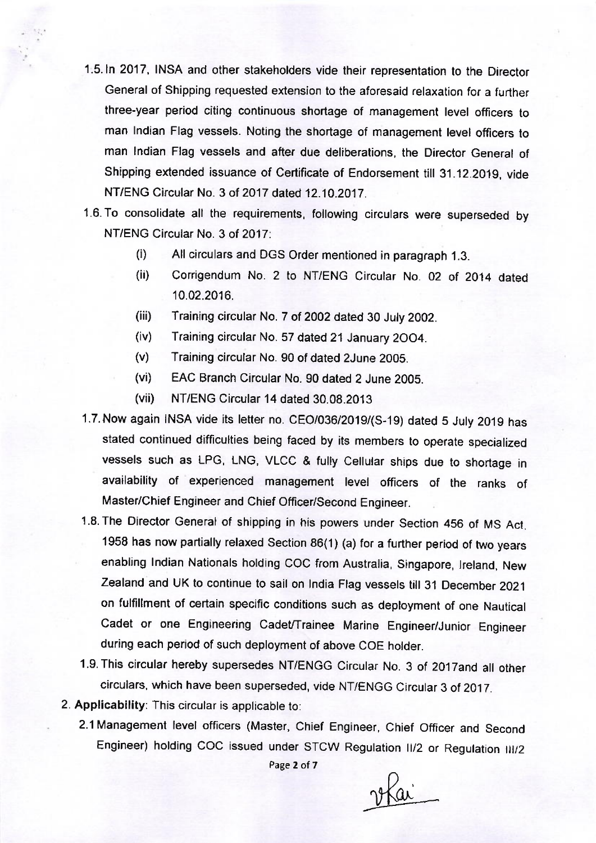- 1.5. In 2017, INSA and other stakeholders vide their representation to the Director General of Shipping requested extension to the aforesaid relaxation for a further three-year period citing continuous shortage of management level officers to man Indian Flag vessels. Noting the shortage of management level officers to man lndian Flag vessels and after due deliberations, the Director General of Shipping extended issuance of Certificate of Endorsement till 31.12.2019, vide NT/ENG Circular No. 3 of 2017 dated 12.10.2017.
- 1.6. To consolidate all the requirements, following circulars were superseded by NT/ENG Circular No. 3 of 2017:
	- (i) All circulars and DGS Order mentioned in paragraph 1.3.
	- (ii) Corrigendum No. 2 to NT/ENG Circular No. 02 of 2014 dated 10.02.2016.
	- (iii) Training circular No. 7 of 2002 dated 30 Juty 2002.
	- (iv) Training circular No. 57 dated 21 January 2OO4.
	- (v) Training circular No. 90 of dated 2June 2005.
	- (vi) EAC Branch Circular No. 90 dated 2 June 2005.
	- (vii) NT/ENG Circular 14 dated 30.08.2013
- 1.7. Now again INSA vide its letter no. CEO/036/2019/(S-19) dated 5 July 2019 has stated continued difficulties being faced by its members to operate specialized vessels such as LPG, LNG, VLCC & fully Cellular ships due to shortage in availability of experienced management level officers of the ranks of Master/Chief Engineer and Chief Officer/Second Engineer.
- 1.8. The Director General of shipping in his powers under Section 456 of MS Act, 1958 has now partially relaxed section 86(1) (a) for a further period of two years enabling lndian Nationals holding COC from Australia, Singapore, lreland, New zealand and uK to continue to sail on lndia Flag vessels till 31 December <sup>2021</sup> on fulfillment of certain specific conditions such as deployment of one Nautical Cadet or one Engineering Cadet/Trainee Marine Engineer/Junior Engineer during each period of such deployment of above COE holder.
- 1.9. This circular hereby supersedes NT/ENGG Circular No. 3 of 2017and all other circulars, which have been superseded, vide NT/ENGG Circular 3 of 2017.
- 2. Applicability: This circular is applicable to:
	- 2.1 Management level officers (Master, chief Engineer, chief officer and second Engineer) holding COC issued under STCW Regulation II/2 or Regulation III/2

Page 2 ot 7

2 Plai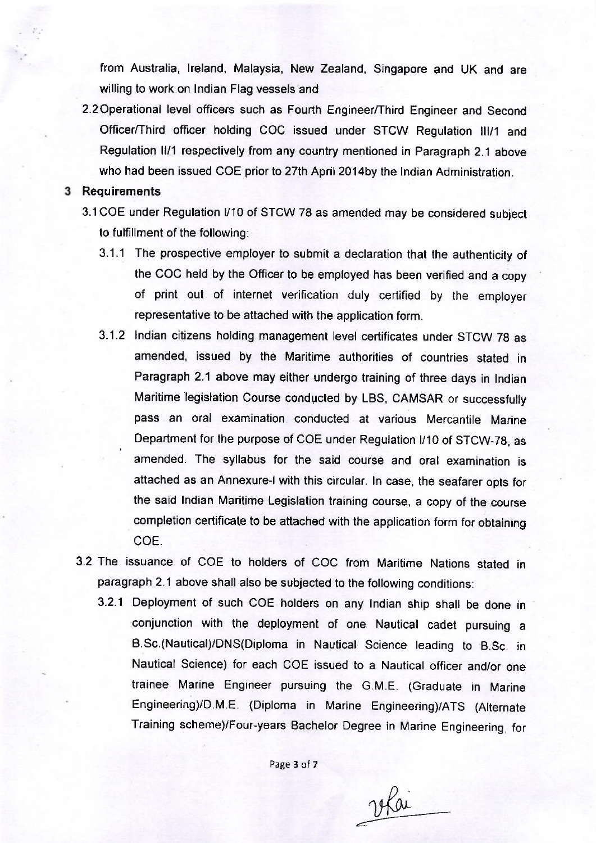from Australia, lreland, Malaysia, New Zealand, Singapore and UK and are willing to work on lndian Flag vessels and

2.2 Operational level officers such as Fourth Engineer/Third Engineer and Second Officer/Third officer holding COC issued under STCW Regulation lll/1 and Regulation ll/1 respectively from any country mentioned in Paragraph 2.1 above who had been issued COE prior to 27th April 2014by the Indian Administration.

#### 3 Requirements

- 3.1COE under Regulation l/10 of STCW 78 as amended may be considered subject to fulfillment of the following:
	- 3.1.1 The prospective employer to submit a declaration that the authenticity of the COC held by the Oflicer to be employed has been verified and a copy of print out of internet verification duly certified by the employer representative to be attached with the application form.
	- 3.1.2 lndian citizens holding management level certificates under STCW 7g as amended, issued by the Maritime authorities of countries stated in Paragraph 2.1 above may either undergo training of three days in lndian Maritime legislation Course conducted by LBS, CAMSAR or successfully pass an oral examination conducted at various Mercantile Marine Department for the purpose of COE under Regulation l/10 of STCW-78, as amended. The syllabus for the said course and oral examination is attached as an Annexure-l with this circular. ln case, the seafarer opts for the said lndian Maritime Legislation training course, a copy of the course completion certificate to be attached with the application form for obtaining coE.
- 3.2 The issuance of COE to holders of COC from Maritime Nations stated in paragraph 2.1 above shall also be subjected to the following conditions:
	- 3.2.1 Deployment of such COE holders on any lndian ship shall be done in conjunction with the deployment of one Nautical cadet pursuing <sup>a</sup> B.Sc.(Nautical)/DNS(Diploma in Nauticat Science teading to B.Sc. in Nautical Science) for each COE issued to a Nautical officer and/or one trainee Marine Engineer pursuing the G.M.E. (Graduate in Marine Engineering)/D.M.E. (Diploma in Marine Engineering)/ATS (Alternate Training scheme)/Four-years Bachelor Degree in Marine Engineering, for

Page 3 of 7

12 Polai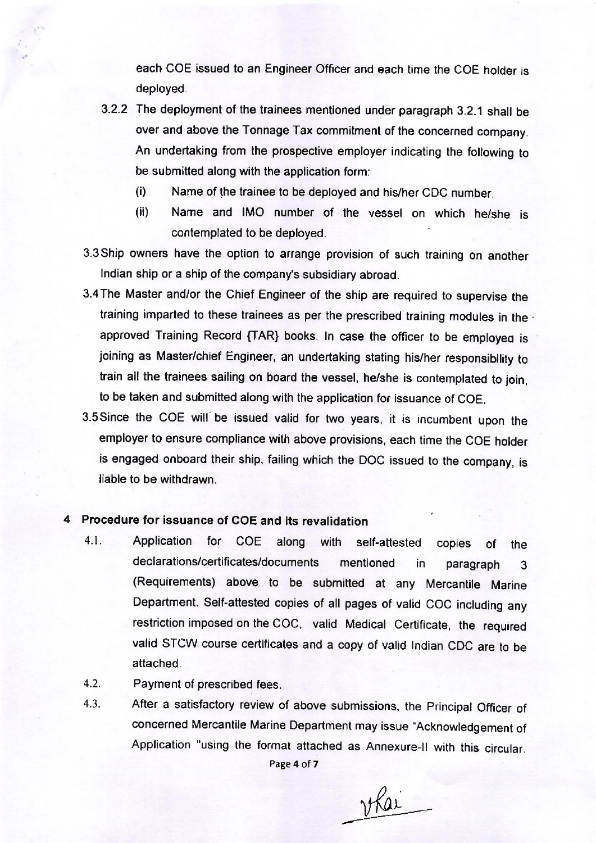each COE issued to an Engineer Officer and each time the COE holder is deployed.

- 3.2.2 The deployment of the trainees mentioned under paragraph 3.2.1 shall be over and above the Tonnage Tax commitment of the concerned company. An undertaking from the prospective employer indicating the following to be submitted along with the application form:
	- (i) Name of the trainee to be deployed and his/her CDC number.
	- (ii) Name and IMO number of the vessel on which he/she is contemplated to be deployed
- 3.3 Ship owners have the option to arrange provision of such training on another lndian ship or a ship of the company's subsidiary abroad.
- 3.4The Master and/or the chief Engineer of the ship are required to supervise the training imparted to these trainees as per the prescribed training modules in the. approved Training Record {TAR} books. In case the officer to be employed is joining as Master/chief Engineer, an undertaking stating his/her responsibility to train all the trainees sailing on board the vessel, he/she is contemplated to join, to be taken and submitted along with the application for issuance of COE.
- 3.5 since the coE will be issued valid for two years, it is incumbent upon the employer to ensure compliance with above provisions, each time the COE holder is engaged onboard their ship, failing which the DOC issued to the company, is liable to be withdrawn.

## 4 Procedure for issuance of COE and its revalidation

- 4.1. Application for COE along with self-attested copies of the declarations/certificates/documents mentioned in paragraph <sup>3</sup> (Requirements) above to be submitted at any Mercantile Marine Department. Self-attested copies of all pages of valid COC including any restriction imposed on the COC, valid Medical Certificate, the required valid STCW course certiiicates and a copy of valid lndian CDC are to be attached.
- Payment of prescribed fees. 4.2.
- After a satisfactory review of above submissions, the Principal Officer of concerned Mercantile Marine Department may issue "Acknowledgement of Application "using the format attached as Annexure-ll with this circular. Page 4 of 7 4.3.

<u>ykai</u>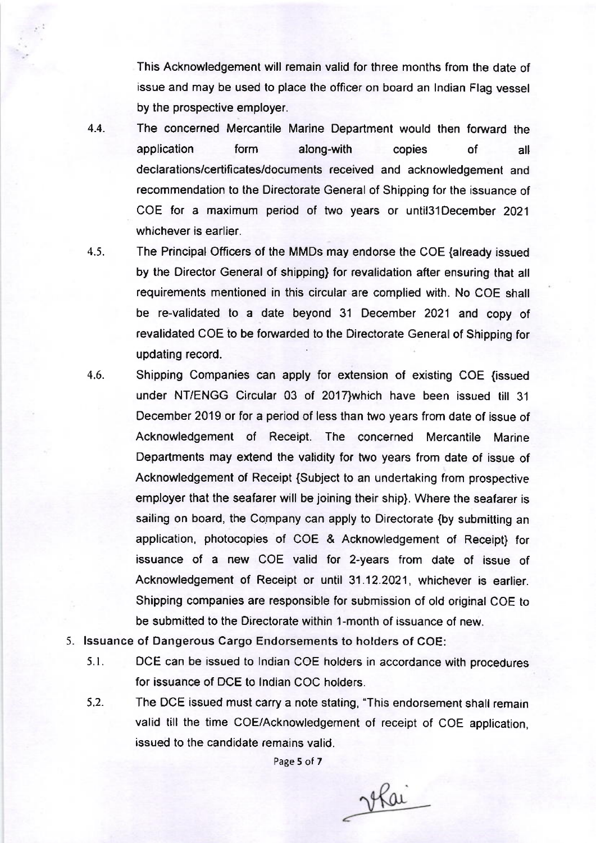This Acknowledgement will remain valid for three months from the date of issue and may be used to place the officer on board an lndian Flag vessel by the prospective employer.

- The concerned Mercantile Marine Department would then forward the application form along-with copies of all declarations/certificates/documents received and acknowledgement and recommendation to the Directorate General of Shipping for the issuance of COE for a maximum period of two years or until3l December <sup>2021</sup> whichever is earlier. 4.4.
- 4.5.

The Principal Officers of the MMDs may endorse the COE {already issued by the Director General of shipping) for revalidation after ensuring that all requirements mentioned in this circular are complied with. No COE shall be re-validated to a date beyond 31 December 2021 and copy of revalidated COE to be forwarded to the Directorate General of Shipping for updating record.

- Shipping Companies can apply for extension of existing COE (issued under NT/ENGG Circular 03 of 2017}which have been issued till 31 December 2019 or for a period of less than two years from date of issue of Acknowledgement of Receipt. The concerned Mercantile Marine Departments may extend the validity for two years from date of issue of Acknowledgement of Receipt {Subject to an undertaking from prospeciive employer that the seafarer will be joining their ship). Where the seafarer is sailing on board, the Company can apply to Directorate {by submitting an application, photocopies of COE & Acknowledgement of Receipt) for issuance of a new COE valid for 2-years from date of issue of Acknowledgement of Receipt or until 31 .12.2021, whichever is earlier. Shipping companies are responsible for submission of old original COE to be submitted to the Directorate within 1-month of issuance of new. 4.6.
- 5. lssuance of Dangerous Cargo Endorsements to holders of COE:
	- 5.1 . DCE can be issued to lndian COE holders in accordance with procedures for issuance of DCE to lndian COC holders.
	- 5.2. The DCE issued must carry a note stating, "This endorsement shall remain valid till the time COE/Acknowledgement of receipt of COE application, issued to the candidate remains valid.

Page 5 of 7

vlai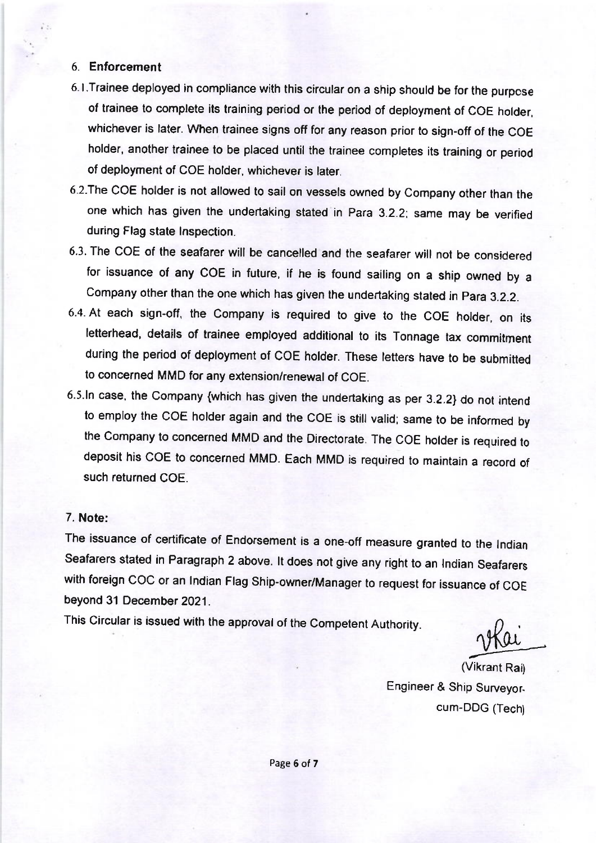### 6. Enforcement

- 6.l.Trainee deployed in compliance with this circular on a ship should be for the purpcse of trainee to complete its training period or the period of deployment of COE holder, whichever is later. When trainee signs off for any reason prior to sign-off of the COE holder, another trainee to be placed until the trainee completes its training or period of deployment of COE holder, whichever is later.
- 6.2.The coE holder is not allowed to sail on vessels owned by company other than the one which has given the undertaking stated in para 3.2.2: same may be verified during Flag state lnspection.
- 6.3. The COE of the seafarer will be cancelled and the seafarer will not be considered for issuance of any COE in future, if he is found sailing on a ship owned by a Company other than the one which has given the undertaking stated in Para 3.2.2.
- 6.4. At each sign-off, the company is required to give to the coE holder, on its letterhead, details of trainee employed additional to its Tonnage tax commitment during the period of deployment of coE holder. These letters have to be submitted to concerned MMD for any extension/renewal of COE.
- 6.5.1n case, the company {which has given the undertaking as per 3.2.2} do not intend to employ the COE holder again and the COE is still valid; same to be informed by the company to concerned MMD and the Directorate. The coE holder is required to deposit his coE to concerned MMD. Each MMD is required to maintain a record of such returned COE.

#### 7. Note:

The issuance of certificate of Endorsement is a one-off measure granted to the lndian Seafarers stated in Paragraph 2 above. lt does not give any right to an lndian seafarers with foreign COC or an Indian Flag Ship-owner/Manager to request for issuance of COE beyond 31 December 2021.

This Circular is issued with the approval of the Competent Authority.

(Vikrant Rai) Engineer & Ship Surveyor. cum-DDG (Tech)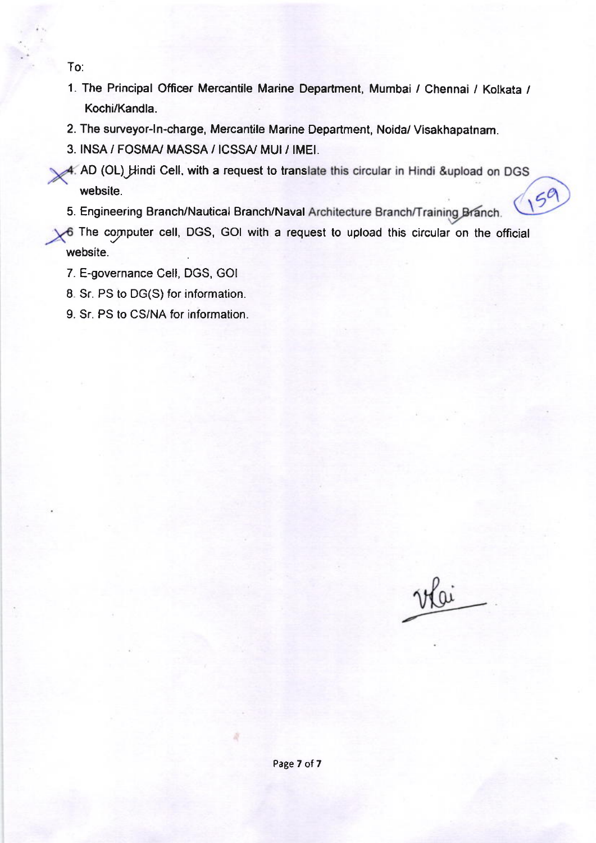To:

- 1. The Principal Officer Mercantile Marine Department, Mumbai / Chennai / Kolkata / Kochi/Kandla.
- 2. The surveyor-ln-charge, Mercantile Marine Department, Noida/ Visakhapatnam.
- 3. INSA / FOSMA/ MASSA / ICSSA/ MUI/ IMEI.
- 4. AD (OL) Hindi Cell, with a request to translate this circular in Hindi &upload on DGS  $159$ website.
- 5. Engineering Branch/Nautical Branch/Naval Architecture Branch/Training Branch.

The cynputer cell, DGS, GOI with a request to upload this circular on the official website.

- 7. E-governance Cell, DGS, GOI
- 8. Sr. PS to DG(S) for information.
- 9. Sr. PS to CS/NA for information.

vlai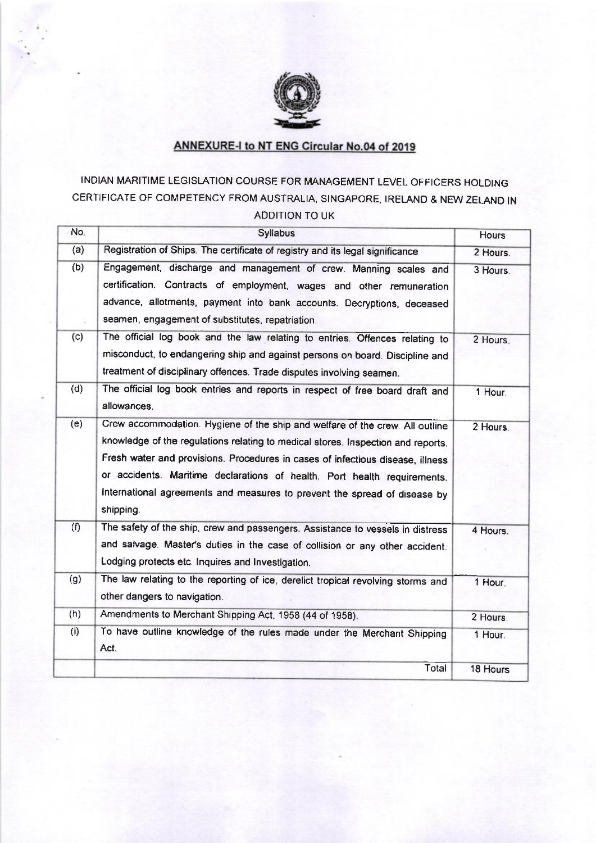

# **ANNEXURE-I to NT ENG Circular No.04 of 2019**

# INDIAN MARITIME LEGISLATION COURSE FOR MANAGEMENT LEVEL OFFICERS HOLDING CERTIFICATE OF COMPETENCY FROM AUSTRALIA, SINGAPORE, IRELANO & NEW ZELAND IN ADDITION TO UK

| No. | Syliabus                                                                                                                                                                                                                                                                                                                                                                                                                 | Hours    |
|-----|--------------------------------------------------------------------------------------------------------------------------------------------------------------------------------------------------------------------------------------------------------------------------------------------------------------------------------------------------------------------------------------------------------------------------|----------|
| (a) | Registration of Ships. The certificate of registry and its legal significance                                                                                                                                                                                                                                                                                                                                            | 2 Hours. |
| (b) | Engagement, discharge and management of crew. Manning scales and<br>certification. Contracts of employment, wages and other remuneration<br>advance, allotments, payment into bank accounts. Decryptions, deceased<br>seamen, engagement of substitutes, repatriation.                                                                                                                                                   | 3 Hours. |
| (c) | The official log book and the law relating to entries. Offences relating to<br>misconduct, to endangering ship and against persons on board. Discipline and<br>treatment of disciplinary offences. Trade disputes involving seamen.                                                                                                                                                                                      | 2 Hours. |
| (d) | The official log book entries and reports in respect of free board draft and<br>allowances.                                                                                                                                                                                                                                                                                                                              | 1 Hour.  |
| (e) | Crew accommodation. Hygiene of the ship and welfare of the crew. All outline<br>knowledge of the regulations relating to medical stores. Inspection and reports.<br>Fresh water and provisions. Procedures in cases of infectious disease, illness<br>or accidents. Maritime declarations of health. Port health requirements.<br>International agreements and measures to prevent the spread of disease by<br>shipping. | 2 Hours. |
| (f) | The safety of the ship, crew and passengers. Assistance to vessels in distress<br>and salvage. Master's duties in the case of collision or any other accident.<br>Lodging protects etc. Inquires and Investigation.                                                                                                                                                                                                      | 4 Hours. |
| (g) | The law relating to the reporting of ice, derelict tropical revolving storms and<br>other dangers to navigation.                                                                                                                                                                                                                                                                                                         | 1 Hour.  |
| (h) | Amendments to Merchant Shipping Act, 1958 (44 of 1958).                                                                                                                                                                                                                                                                                                                                                                  | 2 Hours. |
| (i) | To have outline knowledge of the rules made under the Merchant Shipping<br>Act.                                                                                                                                                                                                                                                                                                                                          | 1 Hour.  |
|     | Total                                                                                                                                                                                                                                                                                                                                                                                                                    | 18 Hours |